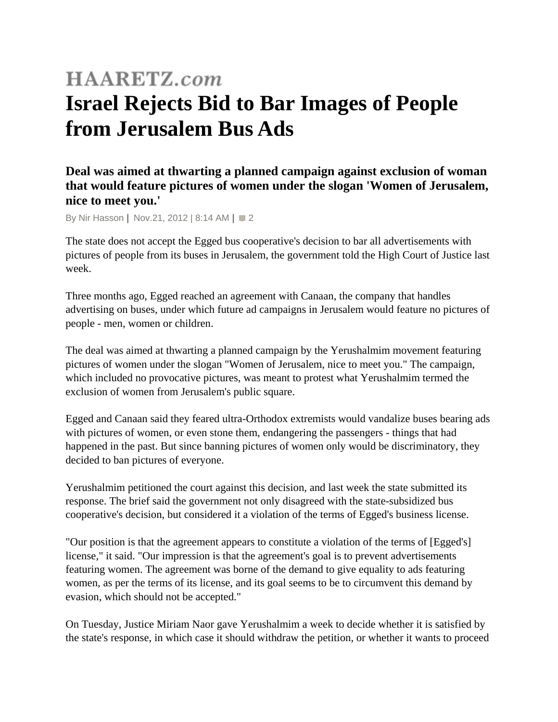## **HAARETZ.com Israel Rejects Bid to Bar Images of People from Jerusalem Bus Ads**

## **Deal was aimed at thwarting a planned campaign against exclusion of woman that would feature pictures of women under the slogan 'Women of Jerusalem, nice to meet you.'**

By [Nir Hasson](http://www.haaretz.com/misc/writers/nir-hasson-1.500) | Nov.21, 2012 | 8:14 AM | 2

The state does not accept the Egged bus cooperative's decision to bar all advertisements with pictures of people from its buses in Jerusalem, the government told the High Court of Justice last week.

Three months ago, Egged reached an agreement with Canaan, the company that handles advertising on buses, under which future ad campaigns in Jerusalem would feature no pictures of people - men, women or children.

The deal was aimed at thwarting a planned campaign by the Yerushalmim movement featuring pictures of women under the slogan "Women of Jerusalem, nice to meet you." The campaign, which included no provocative pictures, was meant to protest what Yerushalmim termed the exclusion of women from Jerusalem's public square.

Egged and Canaan said they feared ultra-Orthodox extremists would vandalize buses bearing ads with pictures of women, or even stone them, endangering the passengers - things that had happened in the past. But since banning pictures of women only would be discriminatory, they decided to ban pictures of everyone.

Yerushalmim petitioned the court against this decision, and last week the state submitted its response. The brief said the government not only disagreed with the state-subsidized bus cooperative's decision, but considered it a violation of the terms of Egged's business license.

"Our position is that the agreement appears to constitute a violation of the terms of [Egged's] license," it said. "Our impression is that the agreement's goal is to prevent advertisements featuring women. The agreement was borne of the demand to give equality to ads featuring women, as per the terms of its license, and its goal seems to be to circumvent this demand by evasion, which should not be accepted."

On Tuesday, Justice Miriam Naor gave Yerushalmim a week to decide whether it is satisfied by the state's response, in which case it should withdraw the petition, or whether it wants to proceed